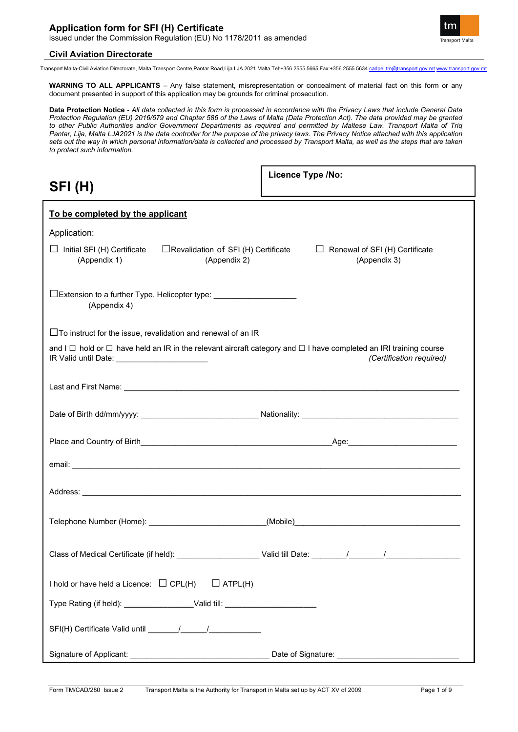

Transport Malta-Civil Aviation Directorate, Malta Transport Centre,Pantar Road,Lija LJA 2021 Malta.Tel:+356 2555 5665 Fax:+356 2555 5634 [cadpel.tm@transport.gov.mt](mailto:cadpel.tm@transport.gov.mt) [www.transport.gov.mt](http://www.transport.gov.mt/)

**WARNING TO ALL APPLICANTS** – Any false statement, misrepresentation or concealment of material fact on this form or any document presented in support of this application may be grounds for criminal prosecution.

**Data Protection Notice -** *All data collected in this form is processed in accordance with the Privacy Laws that include General Data Protection Regulation (EU) 2016/679 and Chapter 586 of the Laws of Malta (Data Protection Act). The data provided may be granted to other Public Authorities and/or Government Departments as required and permitted by Maltese Law. Transport Malta of Triq Pantar, Lija, Malta LJA2021 is the data controller for the purpose of the privacy laws. The Privacy Notice attached with this application sets out the way in which personal information/data is collected and processed by Transport Malta, as well as the steps that are taken to protect such information.*

| SFI(H)                                                                                                                                                                             | Licence Type /No:                                                                                                                                                                                                                                                                                                                       |
|------------------------------------------------------------------------------------------------------------------------------------------------------------------------------------|-----------------------------------------------------------------------------------------------------------------------------------------------------------------------------------------------------------------------------------------------------------------------------------------------------------------------------------------|
| To be completed by the applicant                                                                                                                                                   |                                                                                                                                                                                                                                                                                                                                         |
| Application:                                                                                                                                                                       |                                                                                                                                                                                                                                                                                                                                         |
| $\Box$ Revalidation of SFI (H) Certificate<br>$\Box$ Initial SFI (H) Certificate<br>(Appendix 1)<br>(Appendix 2)                                                                   | $\Box$ Renewal of SFI (H) Certificate<br>(Appendix 3)                                                                                                                                                                                                                                                                                   |
| □Extension to a further Type. Helicopter type: ________________________________<br>(Appendix 4)                                                                                    |                                                                                                                                                                                                                                                                                                                                         |
| $\Box$ To instruct for the issue, revalidation and renewal of an IR                                                                                                                |                                                                                                                                                                                                                                                                                                                                         |
| and I $\Box$ hold or $\Box$ have held an IR in the relevant aircraft category and $\Box$ I have completed an IRI training course<br>IR Valid until Date: _________________________ | (Certification required)                                                                                                                                                                                                                                                                                                                |
|                                                                                                                                                                                    |                                                                                                                                                                                                                                                                                                                                         |
|                                                                                                                                                                                    |                                                                                                                                                                                                                                                                                                                                         |
|                                                                                                                                                                                    |                                                                                                                                                                                                                                                                                                                                         |
|                                                                                                                                                                                    |                                                                                                                                                                                                                                                                                                                                         |
|                                                                                                                                                                                    |                                                                                                                                                                                                                                                                                                                                         |
|                                                                                                                                                                                    |                                                                                                                                                                                                                                                                                                                                         |
| Class of Medical Certificate (if held):                                                                                                                                            | Valid till Date:<br>$\frac{1}{2}$ $\frac{1}{2}$ $\frac{1}{2}$ $\frac{1}{2}$ $\frac{1}{2}$ $\frac{1}{2}$ $\frac{1}{2}$ $\frac{1}{2}$ $\frac{1}{2}$ $\frac{1}{2}$ $\frac{1}{2}$ $\frac{1}{2}$ $\frac{1}{2}$ $\frac{1}{2}$ $\frac{1}{2}$ $\frac{1}{2}$ $\frac{1}{2}$ $\frac{1}{2}$ $\frac{1}{2}$ $\frac{1}{2}$ $\frac{1}{2}$ $\frac{1}{2}$ |
| I hold or have held a Licence: $\Box$ CPL(H) $\Box$ ATPL(H)                                                                                                                        |                                                                                                                                                                                                                                                                                                                                         |
| Type Rating (if held): _________________Valid till: _______________________                                                                                                        |                                                                                                                                                                                                                                                                                                                                         |
|                                                                                                                                                                                    |                                                                                                                                                                                                                                                                                                                                         |
|                                                                                                                                                                                    |                                                                                                                                                                                                                                                                                                                                         |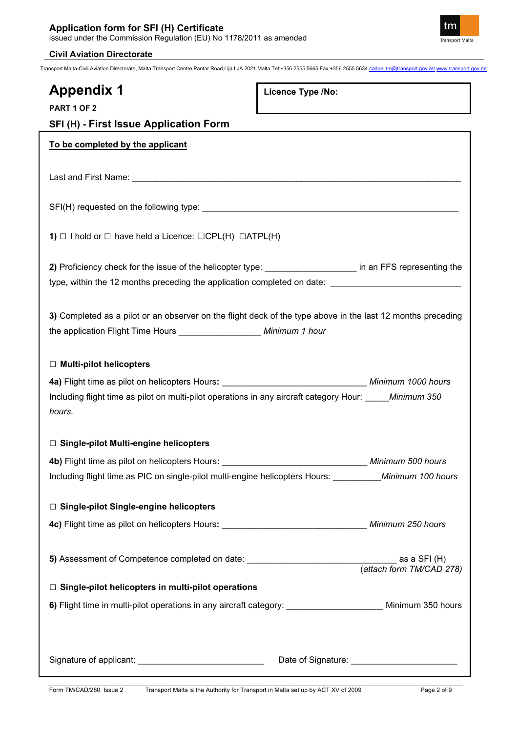

Transport Malta-Civil Aviation Directorate, Malta Transport Centre,Pantar Road,Lija LJA 2021 Malta.Tel:+356 2555 5665 Fax:+356 2555 5634 [cadpel.tm@transport.gov.mt](mailto:cadpel.tm@transport.gov.mt) [www.transport.gov.mt](http://www.transport.gov.mt/)

**Licence Type /No:** 

# **Appendix 1 PART 1 OF 2 SFI (H) - First Issue Application Form To be completed by the applicant** Last and First Name: \_\_\_\_\_\_\_\_\_\_\_\_\_\_\_\_\_\_\_\_\_\_\_\_\_\_\_\_\_\_\_\_\_\_\_\_\_\_\_\_\_\_\_\_\_\_\_\_\_\_\_\_\_\_\_\_\_\_\_\_\_\_\_\_\_\_\_\_ SFI(H) requested on the following type: \_\_\_\_\_\_\_\_\_\_\_\_\_\_\_\_\_\_\_\_\_\_\_\_\_\_\_\_\_\_\_\_\_\_\_\_\_\_\_\_\_\_\_\_\_\_\_\_\_\_\_\_\_

**1)** *□* I hold or *□* have held a Licence: □CPL(H) □ATPL(H)

**2)** Proficiency check for the issue of the helicopter type: \_\_\_\_\_\_\_\_\_\_\_\_\_\_\_\_\_\_\_ in an FFS representing the type, within the 12 months preceding the application completed on date: \_\_\_

**3)** Completed as a pilot or an observer on the flight deck of the type above in the last 12 months preceding the application Flight Time Hours \_\_\_\_\_\_\_\_\_\_\_\_\_\_\_\_\_ *Minimum 1 hour* 

## *□* **Multi-pilot helicopters**

| <b>4a)</b> Flight time as pilot on helicopters Hours:                                   | Minimum 1000 hours |
|-----------------------------------------------------------------------------------------|--------------------|
| Including flight time as pilot on multi-pilot operations in any aircraft category Hour: | Minimum 350        |
| hours.                                                                                  |                    |

## *□* **Single-pilot Multi-engine helicopters**

| Including flight time as PIC on single-pilot multi-engine helicopters Hours: Minimum 100 hours |                          |
|------------------------------------------------------------------------------------------------|--------------------------|
|                                                                                                |                          |
| $\Box$ Single-pilot Single-engine helicopters                                                  |                          |
|                                                                                                |                          |
|                                                                                                |                          |
|                                                                                                |                          |
|                                                                                                | (attach form TM/CAD 278) |
| $\Box$ Single-pilot helicopters in multi-pilot operations                                      |                          |
| 6) Flight time in multi-pilot operations in any aircraft category:                             | Minimum 350 hours        |
|                                                                                                |                          |
|                                                                                                |                          |
| Signature of applicant:                                                                        | Date of Signature:       |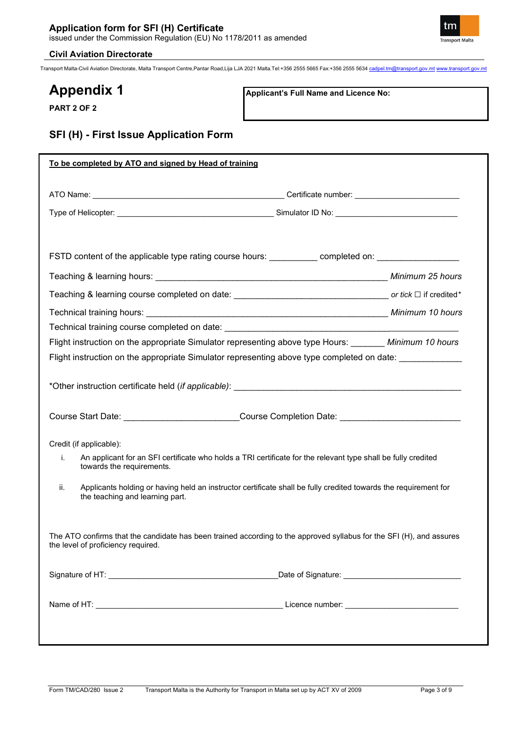

Transport Malta-Civil Aviation Directorate, Malta Transport Centre,Pantar Road,Lija LJA 2021 Malta.Tel:+356 2555 5665 Fax:+356 2555 5634 [cadpel.tm@transport.gov.mt](mailto:cadpel.tm@transport.gov.mt) [www.transport.gov.mt](http://www.transport.gov.mt/)

# **Appendix 1**

**Applicant's Full Name and Licence No:**

**PART 2 OF 2**

## **SFI (H) - First Issue Application Form**

|                                                            | FSTD content of the applicable type rating course hours: __________ completed on: _________________                  |
|------------------------------------------------------------|----------------------------------------------------------------------------------------------------------------------|
|                                                            |                                                                                                                      |
|                                                            |                                                                                                                      |
|                                                            |                                                                                                                      |
|                                                            | Technical training course completed on date: ___________________________________                                     |
|                                                            | Flight instruction on the appropriate Simulator representing above type Hours: Minimum 10 hours                      |
|                                                            | Flight instruction on the appropriate Simulator representing above type completed on date: ______________            |
|                                                            |                                                                                                                      |
|                                                            | Course Start Date: __________________________Course Completion Date: ______________________________                  |
|                                                            |                                                                                                                      |
| Credit (if applicable):<br>i.<br>towards the requirements. | An applicant for an SFI certificate who holds a TRI certificate for the relevant type shall be fully credited        |
| ii.<br>the teaching and learning part.                     | Applicants holding or having held an instructor certificate shall be fully credited towards the requirement for      |
| the level of proficiency required.                         | The ATO confirms that the candidate has been trained according to the approved syllabus for the SFI (H), and assures |
|                                                            | Date of Signature: ________________________________                                                                  |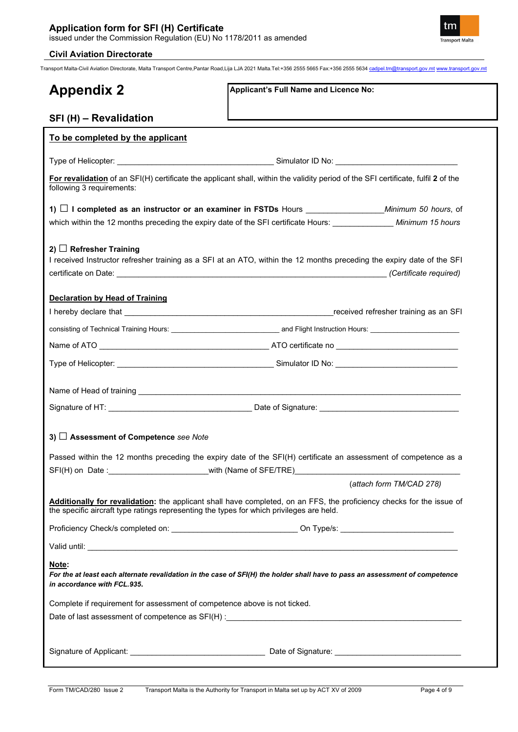

Transport Malta-Civil Aviation Directorate, Malta Transport Centre,Pantar Road,Lija LJA 2021 Malta.Tel:+356 2555 5665 Fax:+356 2555 5634 [cadpel.tm@transport.gov.mt](mailto:cadpel.tm@transport.gov.mt) [www.transport.gov.mt](http://www.transport.gov.mt/)

| <b>Appendix 2</b>                                                                        | Applicant's Full Name and Licence No:                                                                                             |
|------------------------------------------------------------------------------------------|-----------------------------------------------------------------------------------------------------------------------------------|
| SFI (H) - Revalidation                                                                   |                                                                                                                                   |
| To be completed by the applicant                                                         |                                                                                                                                   |
|                                                                                          |                                                                                                                                   |
| following 3 requirements:                                                                | For revalidation of an SFI(H) certificate the applicant shall, within the validity period of the SFI certificate, fulfil 2 of the |
|                                                                                          |                                                                                                                                   |
|                                                                                          | which within the 12 months preceding the expiry date of the SFI certificate Hours: ______________ Minimum 15 hours                |
| 2) $\Box$ Refresher Training                                                             | I received Instructor refresher training as a SFI at an ATO, within the 12 months preceding the expiry date of the SFI            |
| <b>Declaration by Head of Training</b>                                                   |                                                                                                                                   |
|                                                                                          |                                                                                                                                   |
|                                                                                          |                                                                                                                                   |
|                                                                                          |                                                                                                                                   |
|                                                                                          |                                                                                                                                   |
|                                                                                          |                                                                                                                                   |
|                                                                                          |                                                                                                                                   |
| 3) Assessment of Competence see Note                                                     |                                                                                                                                   |
|                                                                                          | Passed within the 12 months preceding the expiry date of the SFI(H) certificate an assessment of competence as a                  |
| SFI(H) on Date: with (Name of SFE/TRE)                                                   | (attach form TM/CAD 278)                                                                                                          |
| the specific aircraft type ratings representing the types for which privileges are held. | Additionally for revalidation: the applicant shall have completed, on an FFS, the proficiency checks for the issue of             |
|                                                                                          |                                                                                                                                   |
|                                                                                          |                                                                                                                                   |
| Note:<br>in accordance with FCL.935.                                                     | For the at least each alternate revalidation in the case of SFI(H) the holder shall have to pass an assessment of competence      |
| Complete if requirement for assessment of competence above is not ticked.                |                                                                                                                                   |
|                                                                                          |                                                                                                                                   |
|                                                                                          |                                                                                                                                   |
|                                                                                          |                                                                                                                                   |
|                                                                                          |                                                                                                                                   |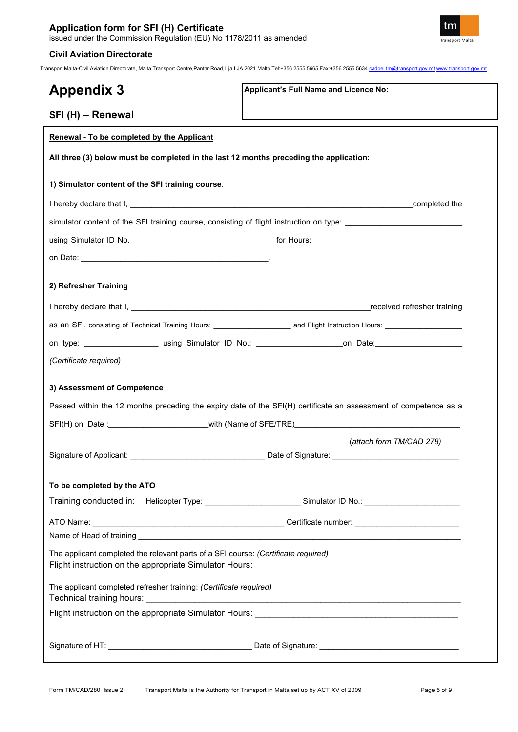

Transport Malta-Civil Aviation Directorate, Malta Transport Centre,Pantar Road,Lija LJA 2021 Malta.Tel:+356 2555 5665 Fax:+356 2555 5634 [cadpel.tm@transport.gov.mt](mailto:cadpel.tm@transport.gov.mt) [www.transport.gov.mt](http://www.transport.gov.mt/)

| <b>Appendix 3</b>                                                                      | Applicant's Full Name and Licence No:                                                                                                   |
|----------------------------------------------------------------------------------------|-----------------------------------------------------------------------------------------------------------------------------------------|
| SFI (H) - Renewal                                                                      |                                                                                                                                         |
| Renewal - To be completed by the Applicant                                             |                                                                                                                                         |
| All three (3) below must be completed in the last 12 months preceding the application: |                                                                                                                                         |
| 1) Simulator content of the SFI training course.                                       |                                                                                                                                         |
|                                                                                        |                                                                                                                                         |
|                                                                                        | simulator content of the SFI training course, consisting of flight instruction on type: ______________________                          |
|                                                                                        |                                                                                                                                         |
|                                                                                        |                                                                                                                                         |
|                                                                                        |                                                                                                                                         |
| 2) Refresher Training                                                                  |                                                                                                                                         |
|                                                                                        |                                                                                                                                         |
|                                                                                        | as an SFI, consisting of Technical Training Hours: ______________________________ and Flight Instruction Hours: _______________________ |
|                                                                                        | on type: _______________________ using Simulator ID No.: _______________________on Date: _____________________                          |
| (Certificate required)                                                                 |                                                                                                                                         |
|                                                                                        |                                                                                                                                         |
| 3) Assessment of Competence                                                            |                                                                                                                                         |
|                                                                                        | Passed within the 12 months preceding the expiry date of the SFI(H) certificate an assessment of competence as a                        |
|                                                                                        |                                                                                                                                         |
|                                                                                        | (attach form TM/CAD 278)                                                                                                                |
|                                                                                        |                                                                                                                                         |
| To be completed by the ATO                                                             |                                                                                                                                         |
|                                                                                        | Training conducted in: Helicopter Type: ___________________________Simulator ID No.: _____________________                              |
|                                                                                        |                                                                                                                                         |
|                                                                                        |                                                                                                                                         |
| The applicant completed the relevant parts of a SFI course: (Certificate required)     |                                                                                                                                         |
|                                                                                        |                                                                                                                                         |
| The applicant completed refresher training: (Certificate required)                     |                                                                                                                                         |
|                                                                                        |                                                                                                                                         |
|                                                                                        |                                                                                                                                         |
|                                                                                        |                                                                                                                                         |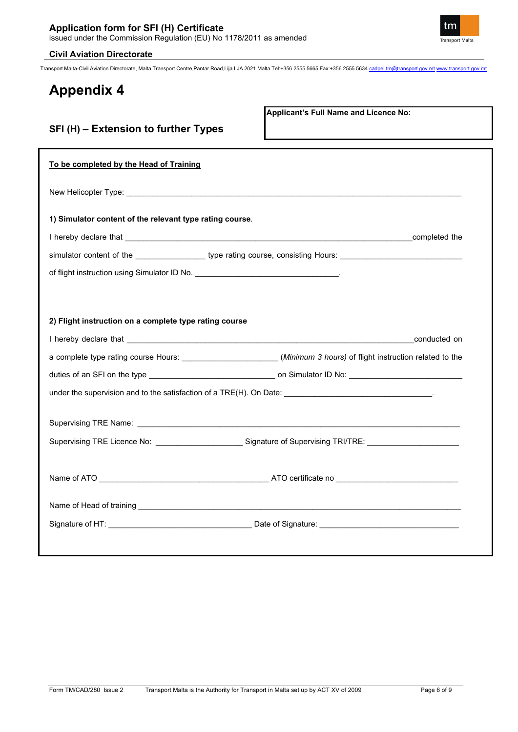**SFI (H) – Extension to further Types** 

Transport Malta-Civil Aviation Directorate, Malta Transport Centre,Pantar Road,Lija LJA 2021 Malta.Tel:+356 2555 5665 Fax:+356 2555 5634 [cadpel.tm@transport.gov.mt](mailto:cadpel.tm@transport.gov.mt) [www.transport.gov.mt](http://www.transport.gov.mt/)

# **Appendix 4**

**Applicant's Full Name and Licence No:**

| To be completed by the Head of Training                                                                            |              |
|--------------------------------------------------------------------------------------------------------------------|--------------|
|                                                                                                                    |              |
| 1) Simulator content of the relevant type rating course.                                                           |              |
|                                                                                                                    |              |
| simulator content of the ___________________type rating course, consisting Hours: ____________________________     |              |
|                                                                                                                    |              |
|                                                                                                                    |              |
| 2) Flight instruction on a complete type rating course                                                             |              |
|                                                                                                                    | conducted on |
| a complete type rating course Hours: _______________________(Minimum 3 hours) of flight instruction related to the |              |
|                                                                                                                    |              |
|                                                                                                                    |              |
|                                                                                                                    |              |
|                                                                                                                    |              |
| Supervising TRE Licence No: _______________________Signature of Supervising TRI/TRE: _____________________         |              |
|                                                                                                                    |              |
|                                                                                                                    |              |
|                                                                                                                    |              |
|                                                                                                                    |              |

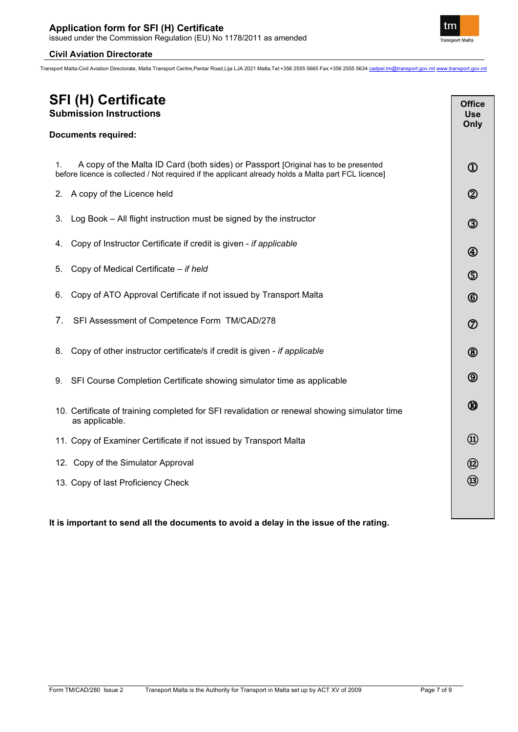Transport Malta-Civil Aviation Directorate, Malta Transport Centre,Pantar Road,Lija LJA 2021 Malta.Tel:+356 2555 5665 Fax:+356 2555 5634 [cadpel.tm@transport.gov.mt](mailto:cadpel.tm@transport.gov.mt) [www.transport.gov.mt](http://www.transport.gov.mt/)

# **SFI (H) Certificate Submission Instructions Documents required:** 1. A copy of the Malta ID Card (both sides) or Passport [Original has to be presented before licence is collected / Not required if the applicant already holds a Malta part FCL licence] 2. A copy of the Licence held 3. Log Book – All flight instruction must be signed by the instructor 4. Copy of Instructor Certificate if credit is given - *if applicable* 5. Copy of Medical Certificate – *if held* 6. Copy of ATO Approval Certificate if not issued by Transport Malta 7. SFI Assessment of Competence Form TM/CAD/278 8. Copy of other instructor certificate/s if credit is given - *if applicable* 9. SFI Course Completion Certificate showing simulator time as applicable 10. Certificate of training completed for SFI revalidation or renewal showing simulator time as applicable. 11. Copy of Examiner Certificate if not issued by Transport Malta 12. Copy of the Simulator Approval 13. Copy of last Proficiency Check **Office Use Only**  $\Omega$  $^{\circledR}$  $\circledS$ 4  $\circledS$  $\circled$ ⑦  $\circledR$  $\circledS$  $\bm{\textcircled{\small{1}}}$ ⑪ ⑫ ⑬

## **It is important to send all the documents to avoid a delay in the issue of the rating.**

٦

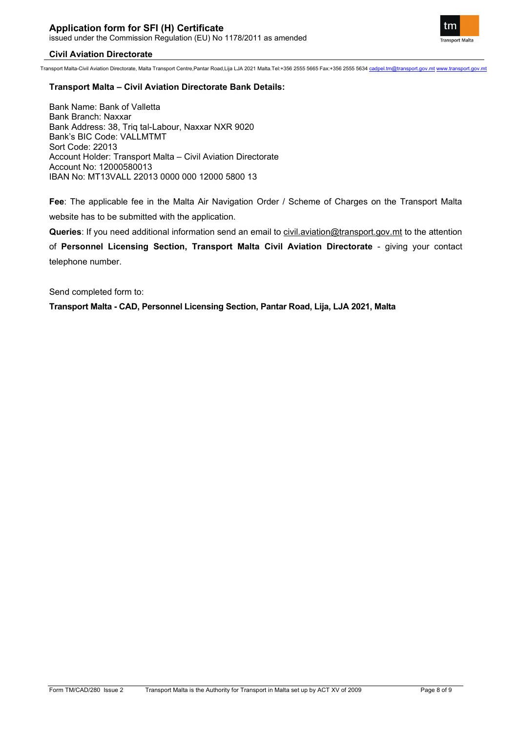Transport Malta-Civil Aviation Directorate, Malta Transport Centre,Pantar Road,Lija LJA 2021 Malta.Tel:+356 2555 5665 Fax:+356 2555 5634 [cadpel.tm@transport.gov.mt](mailto:cadpel.tm@transport.gov.mt) [www.transport.gov.mt](http://www.transport.gov.mt/)

#### **Transport Malta – Civil Aviation Directorate Bank Details:**

Bank Name: Bank of Valletta Bank Branch: Naxxar Bank Address: 38, Triq tal-Labour, Naxxar NXR 9020 Bank's BIC Code: VALLMTMT Sort Code: 22013 Account Holder: Transport Malta – Civil Aviation Directorate Account No: 12000580013 IBAN No: MT13VALL 22013 0000 000 12000 5800 13

**Fee**: The applicable fee in the Malta Air Navigation Order / Scheme of Charges on the Transport Malta website has to be submitted with the application.

**Queries**: If you need additional information send an email to [civil.aviation@transport.gov.mt](mailto:civil.aviation@transport.gov.mt) to the attention

of **Personnel Licensing Section, Transport Malta Civil Aviation Directorate** - giving your contact telephone number.

Send completed form to:

**Transport Malta - CAD, Personnel Licensing Section, Pantar Road, Lija, LJA 2021, Malta**